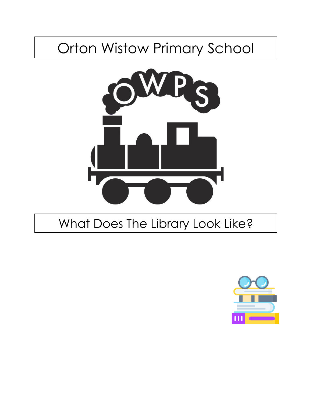## Orton Wistow Primary School



## What Does The Library Look Like?

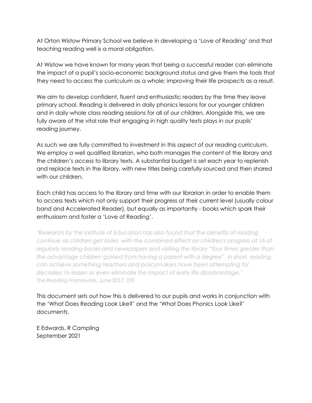At Orton Wistow Primary School we believe in developing a 'Love of Reading' and that teaching reading well is a moral obligation.

At Wistow we have known for many years that being a successful reader can eliminate the impact of a pupil's socio-economic background status and give them the tools that they need to access the curriculum as a whole: improving their life prospects as a result.

We aim to develop confident, fluent and enthusiastic readers by the time they leave primary school. Reading is delivered in daily phonics lessons for our younger children and in daily whole class reading sessions for all of our children. Alongside this, we are fully aware of the vital role that engaging in high quality texts plays in our pupils' reading journey.

As such we are fully committed to investment in this aspect of our reading curriculum. We employ a well qualified librarian, who both manages the content of the library and the children's access to library texts. A substantial budget is set each year to replenish and replace texts in the library, with new titles being carefully sourced and then shared with our children.

Each child has access to the library and time with our librarian in order to enable them to access texts which not only support their progress at their current level (usually colour band and Accelerated Reader), but equally as importantly - books which spark their enthusiasm and foster a 'Love of Reading'.

*'Research by the Institute of Education has also found that the benefits of reading continue as children get older, with the combined effect on children's progress at 16 of regularly reading books and newspapers and visiting the library "four times greater than the advantage children gained from having a parent with a degree". In short, reading can achieve something teachers and policymakers have been attempting for decades: to lessen or even eliminate the impact of early life disadvantage.'* The Reading Framework, June 2017, DfE

This document sets out how this is delivered to our pupils and works in conjunction with the 'What Does Reading Look Like?' and the 'What Does Phonics Look Like?' documents.

E Edwards, R Campling September 2021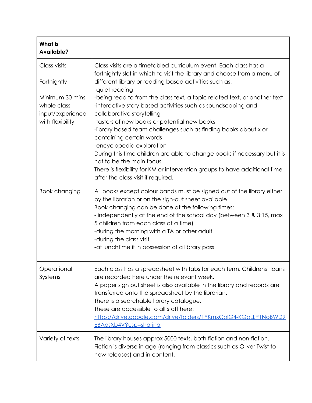| <b>What is</b><br><b>Available?</b>                                                                   |                                                                                                                                                                                                                                                                                                                                                                                                                                                                                                                                                                                                                                                                                                                                                                                                               |
|-------------------------------------------------------------------------------------------------------|---------------------------------------------------------------------------------------------------------------------------------------------------------------------------------------------------------------------------------------------------------------------------------------------------------------------------------------------------------------------------------------------------------------------------------------------------------------------------------------------------------------------------------------------------------------------------------------------------------------------------------------------------------------------------------------------------------------------------------------------------------------------------------------------------------------|
| Class visits<br>Fortnightly<br>Minimum 30 mins<br>whole class<br>input/experience<br>with flexibility | Class visits are a timetabled curriculum event. Each class has a<br>fortnightly slot in which to visit the library and choose from a menu of<br>different library or reading based activities such as:<br>-quiet reading<br>-being read to from the class text, a topic related text, or another text<br>-interactive story based activities such as soundscaping and<br>collaborative storytelling<br>-tasters of new books or potential new books<br>-library based team challenges such as finding books about x or<br>containing certain words<br>-encyclopedia exploration<br>During this time children are able to change books if necessary but it is<br>not to be the main focus.<br>There is flexibility for KM or intervention groups to have additional time<br>after the class visit if required. |
| <b>Book changing</b>                                                                                  | All books except colour bands must be signed out of the library either<br>by the librarian or on the sign-out sheet available.<br>Book changing can be done at the following times:<br>- independently at the end of the school day (between 3 & 3:15, max<br>5 children from each class at a time)<br>-during the morning with a TA or other adult<br>-during the class visit<br>-at lunchtime if in possession of a library pass                                                                                                                                                                                                                                                                                                                                                                            |
| Operational<br>Systems                                                                                | Each class has a spreadsheet with tabs for each term. Childrens' loans<br>are recorded here under the relevant week.<br>A paper sign out sheet is also available in the library and records are<br>transferred onto the spreadsheet by the librarian.<br>There is a searchable library catalogue.<br>These are accessible to all staff here:<br>https://drive.google.com/drive/folders/1YKmxCplG4-KGpLLP1NoBWD9<br>EBAgsXb4V?usp=sharing                                                                                                                                                                                                                                                                                                                                                                      |
| Variety of texts                                                                                      | The library houses approx 5000 texts, both fiction and non-fiction.<br>Fiction is diverse in age (ranging from classics such as Oliver Twist to<br>new releases) and in content.                                                                                                                                                                                                                                                                                                                                                                                                                                                                                                                                                                                                                              |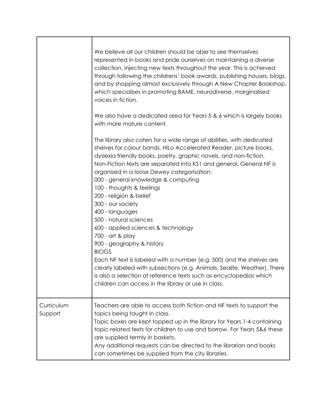|                       | We believe all our children should be able to see themselves<br>represented in books and pride ourselves on maintaining a diverse<br>collection, injecting new texts throughout the year. This is achieved<br>through following the childrens' book awards, publishing houses, blogs,<br>and by shopping almost exclusively through A New Chapter Bookshop,<br>which specialises in promoting BAME, neurodiverse, marginalised<br>voices in fiction.<br>We also have a dedicated area for Years 5 & 6 which is largely books<br>with more mature content.<br>The library also caters for a wide range of abilities, with dedicated<br>shelves for colour bands, HiLo Accelerated Reader, picture books,<br>dyslexia friendly books, poetry, graphic novels, and non-fiction.<br>Non-Fiction texts are separated into KS1 and general. General NF is<br>organised in a loose Dewey categorisation:<br>000 - general knowledge & computing |
|-----------------------|------------------------------------------------------------------------------------------------------------------------------------------------------------------------------------------------------------------------------------------------------------------------------------------------------------------------------------------------------------------------------------------------------------------------------------------------------------------------------------------------------------------------------------------------------------------------------------------------------------------------------------------------------------------------------------------------------------------------------------------------------------------------------------------------------------------------------------------------------------------------------------------------------------------------------------------|
|                       | 100 - thoughts & feelings<br>200 - religion & belief<br>300 - our society<br>400 - languages<br>500 - natural sciences                                                                                                                                                                                                                                                                                                                                                                                                                                                                                                                                                                                                                                                                                                                                                                                                                   |
|                       | 600 - applied sciences & technology<br>700 - art & play<br>900 - geography & history<br><b>BIOGS</b>                                                                                                                                                                                                                                                                                                                                                                                                                                                                                                                                                                                                                                                                                                                                                                                                                                     |
|                       | Each NF text is labeled with a number (e.g. 500) and the shelves are<br>clearly labeled with subsections (e.g. Animals, Sealife, Weather). There<br>is also a selection of reference texts such as encyclopedias which<br>children can access in the library or use in class.                                                                                                                                                                                                                                                                                                                                                                                                                                                                                                                                                                                                                                                            |
| Curriculum<br>Support | Teachers are able to access both fiction and NF texts to support the<br>topics being taught in class.<br>Topic boxes are kept topped up in the library for Years 1-4 containing<br>topic-related texts for children to use and borrow. For Years 5&6 these<br>are supplied termly in baskets.<br>Any additional requests can be directed to the librarian and books<br>can sometimes be supplied from the city libraries.                                                                                                                                                                                                                                                                                                                                                                                                                                                                                                                |